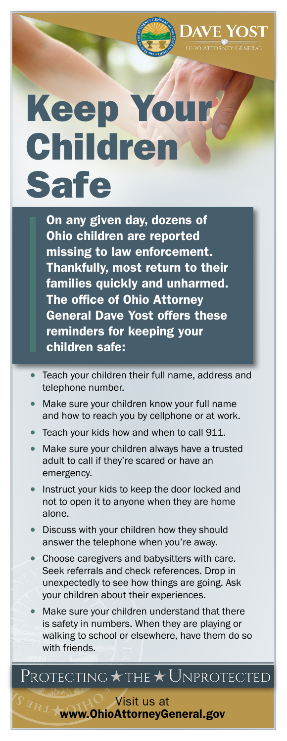

DAVE YOST

## Keep Your Children Safe

On any given day, dozens of Ohio children are reported missing to law enforcement. Thankfully, most return to their families quickly and unharmed. The office of Ohio Attorney General Dave Yost offers these reminders for keeping your children safe:

- Teach your children their full name, address and telephone number.
- Make sure your children know your full name and how to reach you by cellphone or at work.
- Teach your kids how and when to call 911.
- Make sure your children always have a trusted adult to call if they're scared or have an emergency.
- Instruct your kids to keep the door locked and not to open it to anyone when they are home alone.
- Discuss with your children how they should answer the telephone when you're away.
- Choose caregivers and babysitters with care. Seek referrals and check references. Drop in unexpectedly to see how things are going. Ask your children about their experiences.
- Make sure your children understand that there is safety in numbers. When they are playing or walking to school or elsewhere, have them do so with friends.

## Protecting  $\star$  the  $\star$  Unprotected

Visit us at [www.O](http://www.OHLEG.org)hioAttorneyGeneral.gov